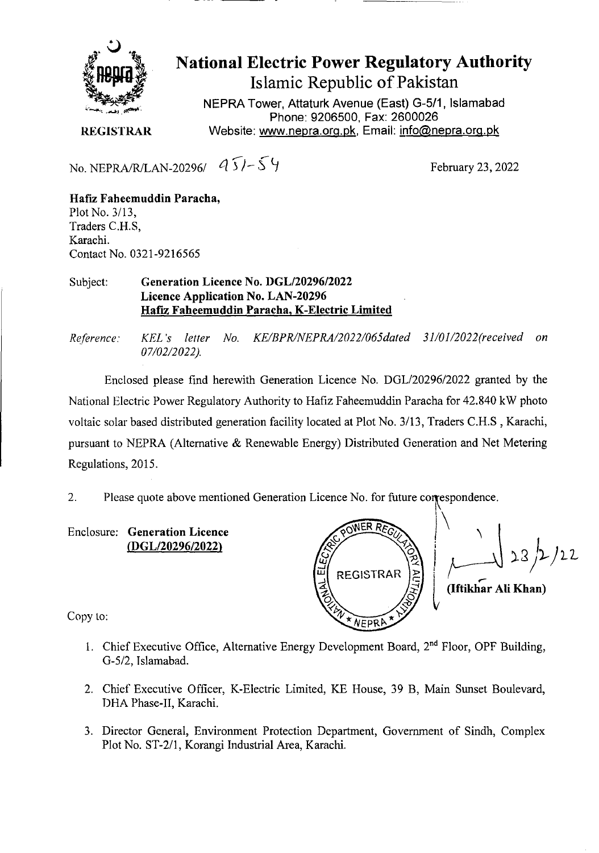

## National Electric Power Regulatory Authority Islamic Republic of Pakistan

**NEPRA Tower, Attaturk Avenue (East) G-511, Islamabad Phone: 9206500, Fax: 2600026 REGISTRAR** Website: www.nepra.org.pk, Email: info@nepra.org.pk

No. NEPRA/R/LAN-20296/  $95/-54$ <br>February 23, 2022

**Hafiz Faheemuddin Paracha,**  Plot No. 3/13, Traders C.H.S, Karachi. Contact No. 0321-9216565

## Subject: **Generation Licence** No. I)GL/20296/2022 **Licence Application No.** LAN-20296 Hafiz **Faheemuddin Paracha,** K**-Electric Limited**

*Reference: KEL 's letter No. KE/BPR/NEPK4/2022/065dated 31/0J/2022('received on 07/02/2022).* 

Enclosed please find herewith Generation Licence No. DGL/20296/2022 granted by the National Electric Power Regulatory Authority to Hafiz Faheemuddin Paracha for 42.840 kW photo voltaic solar based distributed generation facility located at Plot No. 3/13, Traders C.H.S , Karachi, pursuant to NEPRA (Alternative & Renewable Energy) Distributed Generation and Net Metering Regulations, 2015.

2. Please auote above mentioned Generation Licence No. for future correspondence.

Enclosure: **Generation Licence**  *(DGL12029612022)* 

WE ER 22 REGISTRAR **(Iftikhar** All **Khan)**  NEPRA

Copy to:

- 1. Chief Executive Office, Alternative Energy Development Board, 2<sup>nd</sup> Floor, OPF Building, G-5/2, Tslamabad.
- 2. Chief Executive Officer, K-Electric Limited, KE House, 39 B, Main Sunset Boulevard, T)HA Phase-IT, Karachi.
- 3. Director General, Environment Protection Department, Government of Sindh, Complex Plot No. ST-2/1, Korangi Industrial Area, Karachi.